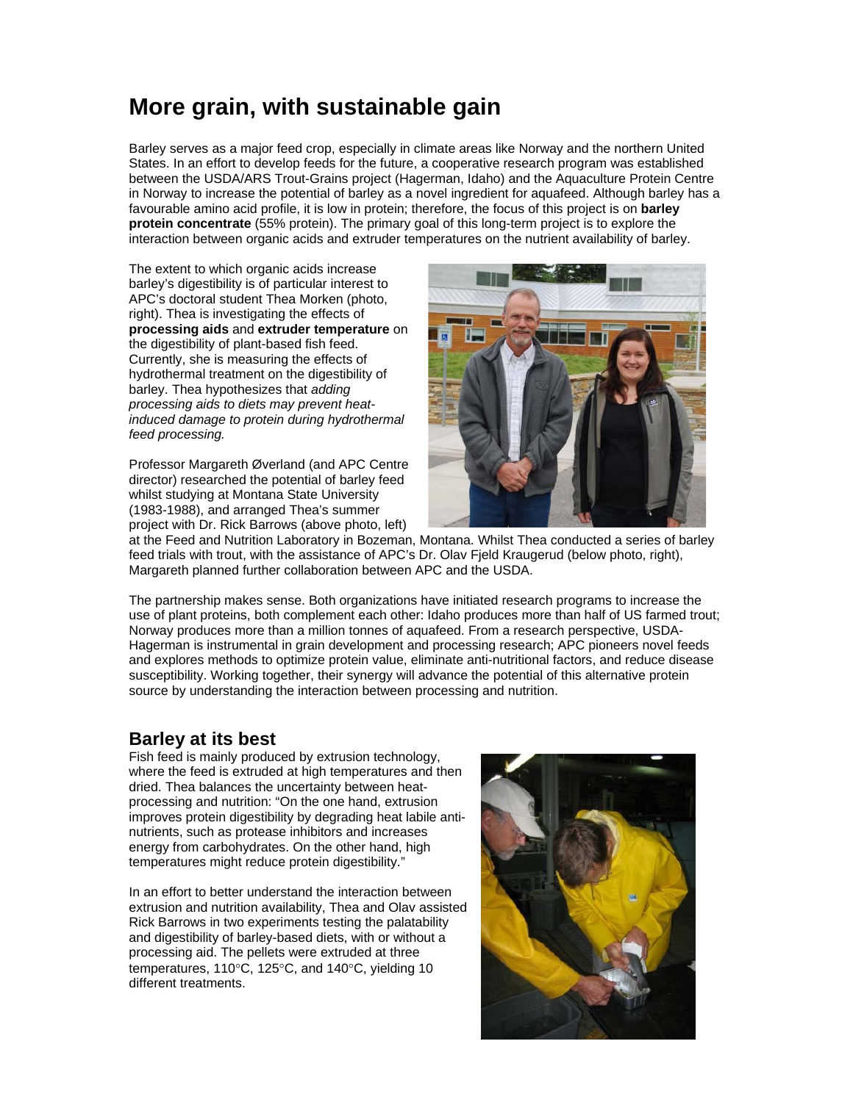## **More grain, with sustainable gain**

Barley serves as a major feed crop, especially in climate areas like Norway and the northern United States. In an effort to develop feeds for the future, a cooperative research program was established between the USDA/ARS Trout-Grains project (Hagerman, Idaho) and the Aquaculture Protein Centre in Norway to increase the potential of barley as a novel ingredient for aquafeed. Although barley has a favourable amino acid profile, it is low in protein; therefore, the focus of this project is on **barley protein concentrate** (55% protein). The primary goal of this long-term project is to explore the interaction between organic acids and extruder temperatures on the nutrient availability of barley.

The extent to which organic acids increase barley's digestibility is of particular interest to APC's doctoral student Thea Morken (photo, right). Thea is investigating the effects of **processing aids** and **extruder temperature** on the digestibility of plant-based fish feed. Currently, she is measuring the effects of hydrothermal treatment on the digestibility of barley. Thea hypothesizes that *adding processing aids to diets may prevent heatinduced damage to protein during hydrothermal feed processing.* 

Professor Margareth Øverland (and APC Centre director) researched the potential of barley feed whilst studying at Montana State University (1983-1988), and arranged Thea's summer project with Dr. Rick Barrows (above photo, left)



at the Feed and Nutrition Laboratory in Bozeman, Montana. Whilst Thea conducted a series of barley feed trials with trout, with the assistance of APC's Dr. Olav Field Kraugerud (below photo, right), Margareth planned further collaboration between APC and the USDA.

The partnership makes sense. Both organizations have initiated research programs to increase the use of plant proteins, both complement each other: Idaho produces more than half of US farmed trout; Norway produces more than a million tonnes of aquafeed. From a research perspective, USDA-Hagerman is instrumental in grain development and processing research; APC pioneers novel feeds and explores methods to optimize protein value, eliminate anti-nutritional factors, and reduce disease susceptibility. Working together, their synergy will advance the potential of this alternative protein source by understanding the interaction between processing and nutrition.

## **Barley at its best**

Fish feed is mainly produced by extrusion technology, where the feed is extruded at high temperatures and then dried. Thea balances the uncertainty between heatprocessing and nutrition: "On the one hand, extrusion improves protein digestibility by degrading heat labile antinutrients, such as protease inhibitors and increases energy from carbohydrates. On the other hand, high temperatures might reduce protein digestibility."

In an effort to better understand the interaction between extrusion and nutrition availability, Thea and Olav assisted Rick Barrows in two experiments testing the palatability and digestibility of barley-based diets, with or without a processing aid. The pellets were extruded at three temperatures,  $110^{\circ}$ C,  $125^{\circ}$ C, and  $140^{\circ}$ C, yielding 10 different treatments.